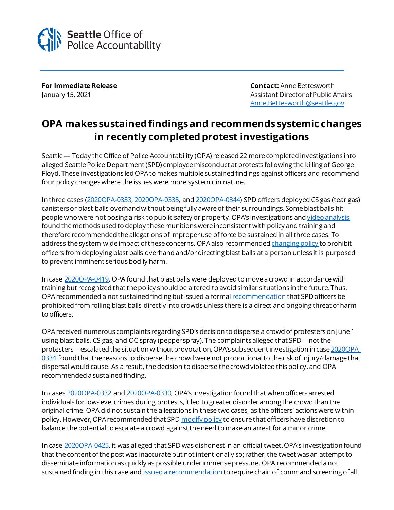

**For Immediate Release Contact:** Anne Bettesworth January 15, 2021 **Assistant Director of Public Affairs** Assistant Director of Public Affairs [Anne.Bettesworth@seattle.gov](mailto:Anne.Bettesworth@seattle.gov)

## **OPA makes sustained findings and recommends systemic changes in recently completed protest investigations**

Seattle — Today the Office of Police Accountability (OPA) released 22 more completed investigations into alleged Seattle Police Department (SPD) employee misconduct at protests following the killing of George Floyd. These investigations led OPA to makes multiple sustained findings against officers and recommend four policy changeswhere the issues were more systemic in nature.

In three cases [\(2020OPA-0333,](http://www.seattle.gov/Documents/Departments/OPA/ClosedCaseSummaries/2020OPA-0333ccs122820.pdf) [2020OPA-0335,](http://www.seattle.gov/Documents/Departments/OPA/ClosedCaseSummaries/2020OPA-0335ccs121020.pdf) and [2020OPA-0344\)](http://www.seattle.gov/Documents/Departments/OPA/ClosedCaseSummaries/2020OPA-0344ccs122820_pt1.pdf) SPD officers deployed CS gas (tear gas) canisters or blast balls overhand without being fully aware of their surroundings. Some blast balls hit people who were not posing a risk to public safety or property. OPA's investigations an[d video analysis](https://youtu.be/3crL86tZsN8) found the methods used to deploy these munitions were inconsistent with policy and training and therefore recommended the allegations of improper use of force be sustained in all three cases. To address the system-wide impact of these concerns, OPA also recommende[d changing policy](http://seattle.gov/Documents/Departments/OPA/ManagementAction/2020OPA-0419_2021COMP-0005_MAR_01-14-21.pdf) to prohibit officers from deploying blast balls overhand and/or directing blast balls at a person unless it is purposed to prevent imminent serious bodily harm.

In cas[e 2020OPA-0419,](http://www.seattle.gov/Documents/Departments/OPA/ClosedCaseSummaries/2020OPA-0419ccs011321.pdf) OPA found that blast balls were deployed to move a crowd in accordance with training but recognized that the policy should be altered to avoid similar situations in the future. Thus, OPA recommended a not sustained finding but issued a forma[l recommendation](http://seattle.gov/Documents/Departments/OPA/ManagementAction/2020OPA-0419_2021COMP-0005_MAR_01-14-21.pdf) that SPD officers be prohibited from rolling blast balls directly into crowds unless there is a direct and ongoing threat of harm to officers.

OPA received numerous complaints regarding SPD's decision to disperse a crowd of protesters on June 1 using blast balls, CS gas, and OC spray (pepper spray). The complaints alleged that SPD—not the protesters—escalated the situation without provocation. OPA's subsequent investigation in cas[e 2020OPA-](http://www.seattle.gov/Documents/Departments/OPA/ClosedCaseSummaries/2020OPA-0334ccs010821.pdf)[0334](http://www.seattle.gov/Documents/Departments/OPA/ClosedCaseSummaries/2020OPA-0334ccs010821.pdf) found that the reasons to disperse the crowd were not proportional to the risk of injury/damage that dispersal would cause. As a result, the decision to disperse the crowd violated this policy, and OPA recommended a sustained finding.

In cases [2020OPA-0332](http://www.seattle.gov/Documents/Departments/OPA/ClosedCaseSummaries/2020OPA-0332ccs122320.pdf) an[d 2020OPA-0330,](http://www.seattle.gov/Documents/Departments/OPA/ClosedCaseSummaries/2020OPA-0330ccs122220.pdf) OPA's investigation found that when officers arrested individuals for low-level crimes during protests, it led to greater disorder among the crowd than the original crime. OPA did not sustain the allegations in these two cases, as the officers' actions were within policy. However, OPA recommended that SP[D modify policy](http://www.seattle.gov/Documents/Departments/OPA/ManagementAction/2020OPA-0330_2020OPA-0332_2021COMP-0001_MAR_01-05-21(0).pdf) to ensure that officers have discretion to balance the potential to escalate a crowd against the need to make an arrest for a minor crime.

In cas[e 2020OPA-0425,](https://www.seattle.gov/Documents/Departments/OPA/ClosedCaseSummaries/2020OPA-0425ccs010221.pdf) it was alleged that SPD was dishonest in an official tweet. OPA's investigation found that the content of the post was inaccurate but not intentionally so; rather, the tweet was an attempt to disseminate information as quickly as possible under immense pressure. OPA recommended a not sustained finding in this case an[d issued a recommendation](http://www.seattle.gov/Documents/Departments/OPA/ManagementAction/2020OPA-0425_2021COMP-0004_MAR_011321.pdf) to require chain of command screening of all